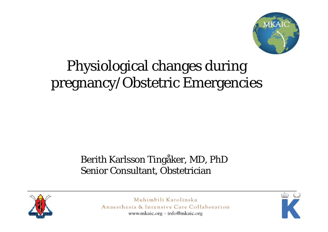

### Physiological changes during pregnancy/Obstetric Emergencies

#### Berith Karlsson Tingåker, MD, PhD Senior Consultant, Obstetrician



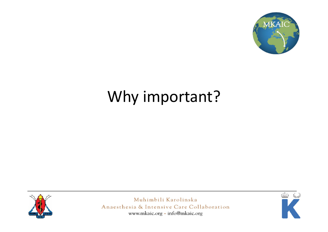

## Why important?



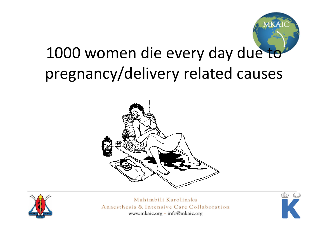

## 1000 women die every day due to pregnancy/delivery related causes





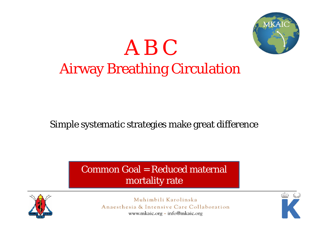

## A B CAirway Breathing Circulation

#### Simple systematic strategies make great difference

#### Common Goal = Reduced maternal mortality rate



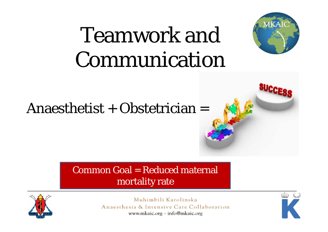# Teamwork and Communication



#### Common Goal = Reduced maternal mortality rate



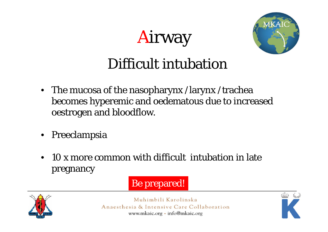## Airway



#### Difficult intubation

- The mucosa of the nasopharynx /larynx /trachea becomes hyperemic and oedematous due to increased oestrogen and bloodflow.
- Preeclampsia
- $\bullet$  10 x more common with difficult intubation in late pregnancy

#### Be prepared!



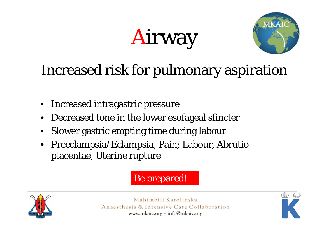# Airway



## Increased risk for pulmonary aspiration

- •Increased intragastric pressure
- •Decreased tone in the lower esofageal sfincter
- •Slower gastric empting time during labour
- $\bullet$  Preeclampsia/Eclampsia, Pain; Labour, Abrutio placentae, Uterine rupture

Be prepared!



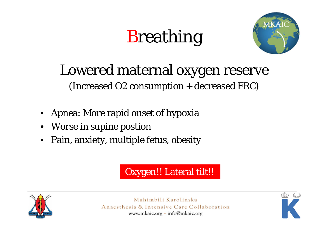## **Breathing**



## Lowered maternal oxygen reserve

(Increased O2 consumption + decreased FRC)

- Apnea: More rapid onset of hypoxia
- •Worse in supine postion
- •Pain, anxiety, multiple fetus, obesity

#### Oxygen!! Lateral tilt!!



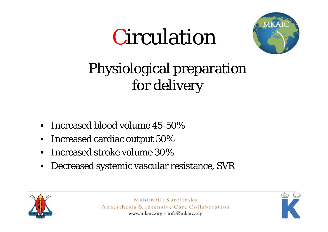

### Physiological preparation for delivery

- •Increased blood volume 45-50%
- $\bullet$ Increased cardiac output 50%
- •Increased stroke volume 30%
- •Decreased systemic vascular resistance, SVR



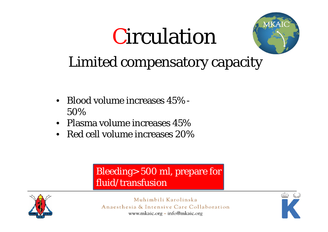

### Limited compensatory capacity

- Blood volume increases 45% -50%
- Plasma volume increases 45%
- Red cell volume increases 20%

#### Bleeding> 500 ml, prepare for fluid/transfusion



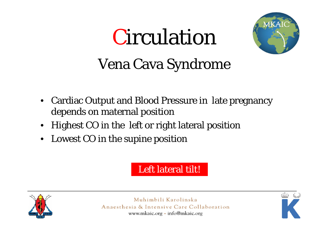

## Vena Cava Syndrome

- Cardiac Output and Blood Pressure in late pregnancy depends on maternal position
- Highest CO in the left or right lateral position
- $\bullet$ Lowest CO in the supine position

#### Left lateral tilt!



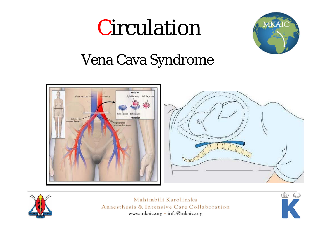

#### Vena Cava Syndrome





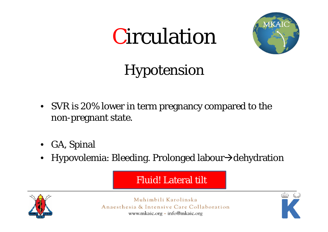

## Hypotension

- SVR is 20% lower in term pregnancy compared to the non-pregnant state.
- GA, Spinal
- Hypovolemia: Bleeding. Prolonged labour $\rightarrow$ dehydration

Fluid! Lateral tilt



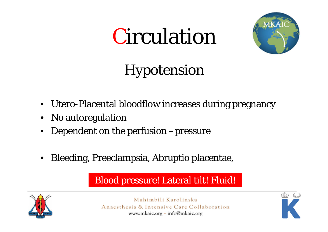

## Hypotension

- Utero-Placental bloodflow increases during pregnancy
- •No autoregulation
- Dependent on the perfusion –pressure
- •Bleeding, Preeclampsia, Abruptio placentae,

#### Blood pressure! Lateral tilt! Fluid!